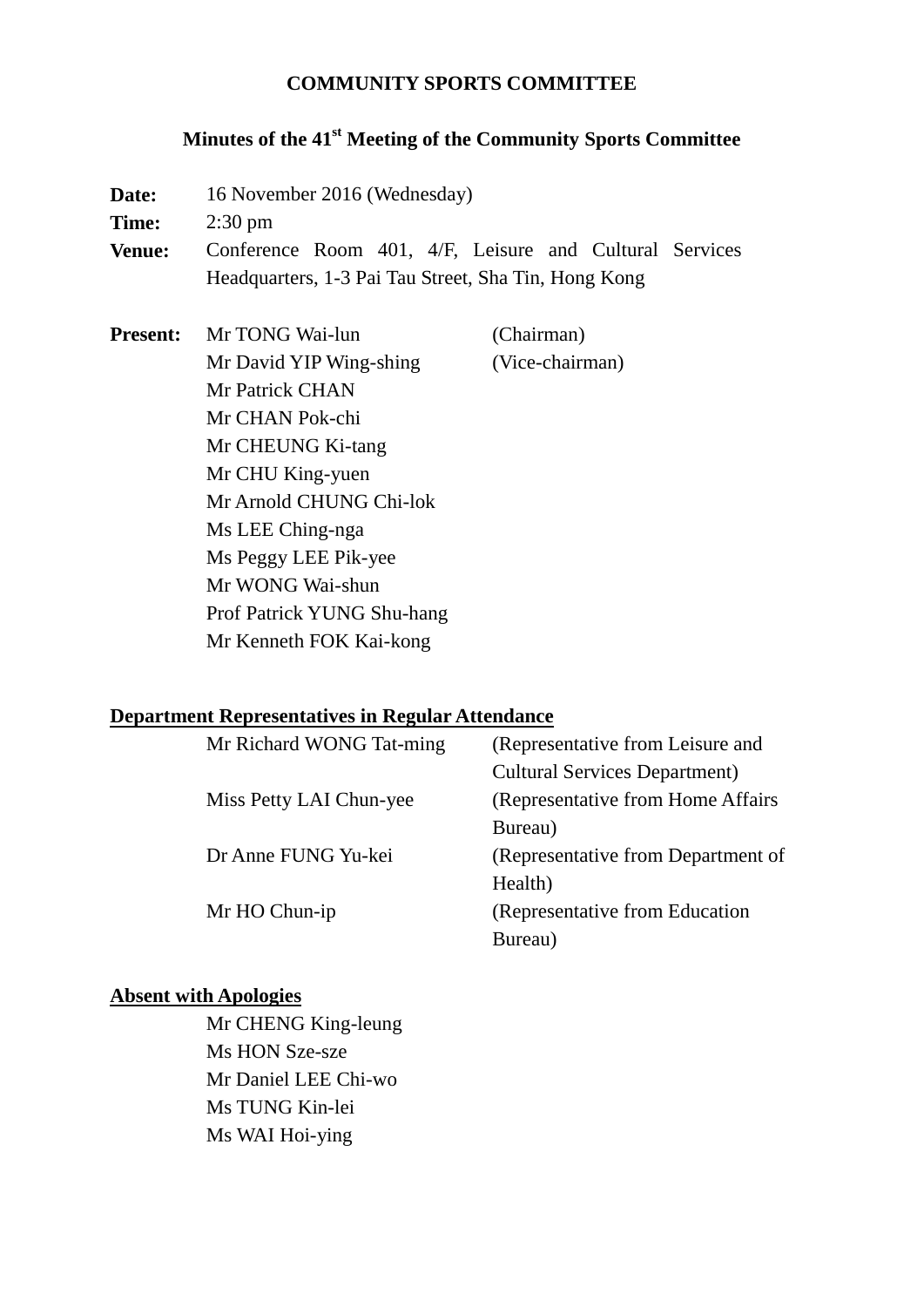#### **COMMUNITY SPORTS COMMITTEE**

## **Minutes of the 41st Meeting of the Community Sports Committee**

Date: 16 November 2016 (Wednesday)

**Time:** 2:30 pm

**Venue:** Conference Room 401, 4/F, Leisure and Cultural Services Headquarters, 1-3 Pai Tau Street, Sha Tin, Hong Kong

**Present:** Mr TONG Wai-lun (Chairman) Mr David YIP Wing-shing (Vice-chairman) Mr Patrick CHAN Mr CHAN Pok-chi Mr CHEUNG Ki-tang Mr CHU King-yuen Mr Arnold CHUNG Chi-lok Ms LEE Ching-nga Ms Peggy LEE Pik-yee Mr WONG Wai-shun Prof Patrick YUNG Shu-hang Mr Kenneth FOK Kai-kong

#### **Department Representatives in Regular Attendance**

| Mr Richard WONG Tat-ming | (Representative from Leisure and     |  |
|--------------------------|--------------------------------------|--|
|                          | <b>Cultural Services Department)</b> |  |
| Miss Petty LAI Chun-yee  | (Representative from Home Affairs)   |  |
|                          | Bureau)                              |  |
| Dr Anne FUNG Yu-kei      | (Representative from Department of   |  |
|                          | Health)                              |  |
| Mr HO Chun-ip            | (Representative from Education       |  |
|                          | Bureau)                              |  |

#### **Absent with Apologies**

Mr CHENG King-leung Ms HON Sze-sze Mr Daniel LEE Chi-wo Ms TUNG Kin-lei Ms WAI Hoi-ying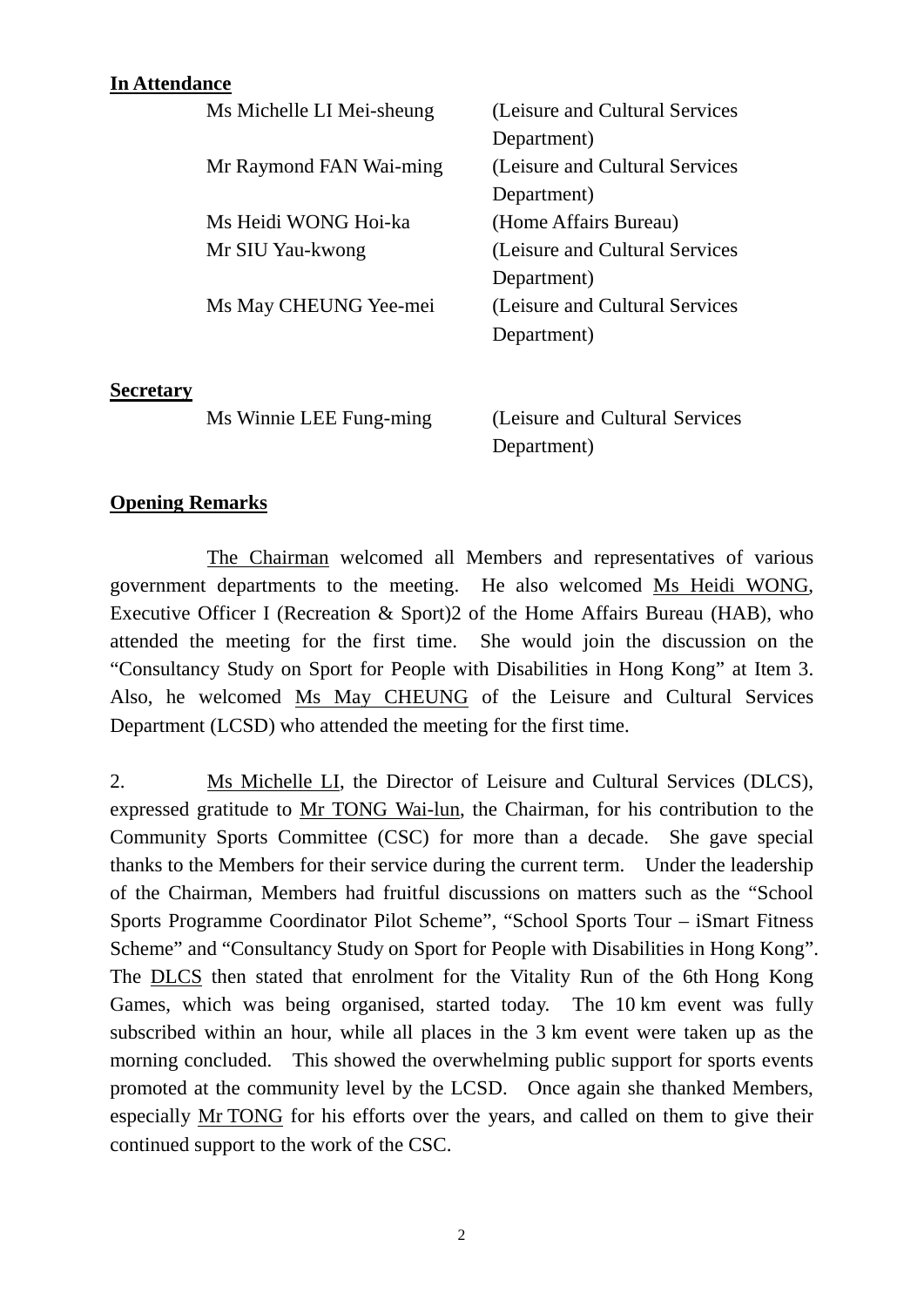### **In Attendance**

|                  | Ms Michelle LI Mei-sheung | (Leisure and Cultural Services  |
|------------------|---------------------------|---------------------------------|
|                  |                           | Department)                     |
|                  | Mr Raymond FAN Wai-ming   | (Leisure and Cultural Services) |
|                  |                           | Department)                     |
|                  | Ms Heidi WONG Hoi-ka      | (Home Affairs Bureau)           |
|                  | Mr SIU Yau-kwong          | (Leisure and Cultural Services) |
|                  |                           | Department)                     |
|                  | Ms May CHEUNG Yee-mei     | (Leisure and Cultural Services) |
|                  |                           | Department)                     |
|                  |                           |                                 |
| <b>Secretary</b> |                           |                                 |
|                  | Ms Winnie LEE Fung-ming   | (Leisure and Cultural Services) |
|                  |                           | Department)                     |
|                  |                           |                                 |

#### **Opening Remarks**

The Chairman welcomed all Members and representatives of various government departments to the meeting. He also welcomed Ms Heidi WONG, Executive Officer I (Recreation & Sport)2 of the Home Affairs Bureau (HAB), who attended the meeting for the first time. She would join the discussion on the "Consultancy Study on Sport for People with Disabilities in Hong Kong" at Item 3. Also, he welcomed Ms May CHEUNG of the Leisure and Cultural Services Department (LCSD) who attended the meeting for the first time.

2. Ms Michelle LI, the Director of Leisure and Cultural Services (DLCS), expressed gratitude to Mr TONG Wai-lun, the Chairman, for his contribution to the Community Sports Committee (CSC) for more than a decade. She gave special thanks to the Members for their service during the current term. Under the leadership of the Chairman, Members had fruitful discussions on matters such as the "School Sports Programme Coordinator Pilot Scheme", "School Sports Tour – iSmart Fitness Scheme" and "Consultancy Study on Sport for People with Disabilities in Hong Kong". The DLCS then stated that enrolment for the Vitality Run of the 6th Hong Kong Games, which was being organised, started today. The 10 km event was fully subscribed within an hour, while all places in the 3 km event were taken up as the morning concluded. This showed the overwhelming public support for sports events promoted at the community level by the LCSD. Once again she thanked Members, especially Mr TONG for his efforts over the years, and called on them to give their continued support to the work of the CSC.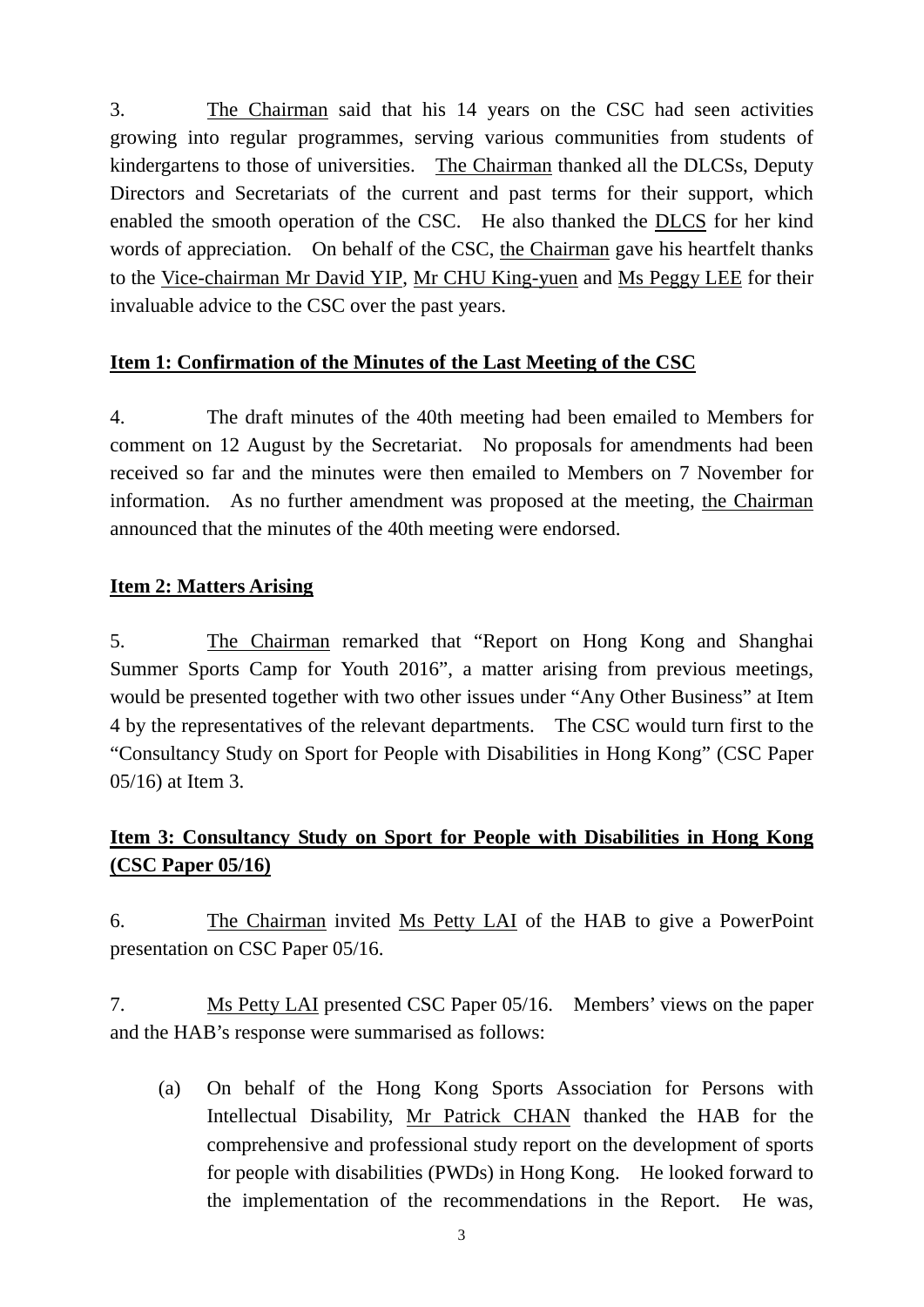3. The Chairman said that his 14 years on the CSC had seen activities growing into regular programmes, serving various communities from students of kindergartens to those of universities. The Chairman thanked all the DLCSs, Deputy Directors and Secretariats of the current and past terms for their support, which enabled the smooth operation of the CSC. He also thanked the DLCS for her kind words of appreciation. On behalf of the CSC, the Chairman gave his heartfelt thanks to the Vice-chairman Mr David YIP, Mr CHU King-yuen and Ms Peggy LEE for their invaluable advice to the CSC over the past years.

### **Item 1: Confirmation of the Minutes of the Last Meeting of the CSC**

4. The draft minutes of the 40th meeting had been emailed to Members for comment on 12 August by the Secretariat. No proposals for amendments had been received so far and the minutes were then emailed to Members on 7 November for information. As no further amendment was proposed at the meeting, the Chairman announced that the minutes of the 40th meeting were endorsed.

### **Item 2: Matters Arising**

5. The Chairman remarked that "Report on Hong Kong and Shanghai Summer Sports Camp for Youth 2016", a matter arising from previous meetings, would be presented together with two other issues under "Any Other Business" at Item 4 by the representatives of the relevant departments. The CSC would turn first to the "Consultancy Study on Sport for People with Disabilities in Hong Kong" (CSC Paper 05/16) at Item 3.

# **Item 3: Consultancy Study on Sport for People with Disabilities in Hong Kong (CSC Paper 05/16)**

6. The Chairman invited Ms Petty LAI of the HAB to give a PowerPoint presentation on CSC Paper 05/16.

7. Ms Petty LAI presented CSC Paper 05/16. Members' views on the paper and the HAB's response were summarised as follows:

(a) On behalf of the Hong Kong Sports Association for Persons with Intellectual Disability, Mr Patrick CHAN thanked the HAB for the comprehensive and professional study report on the development of sports for people with disabilities (PWDs) in Hong Kong. He looked forward to the implementation of the recommendations in the Report. He was,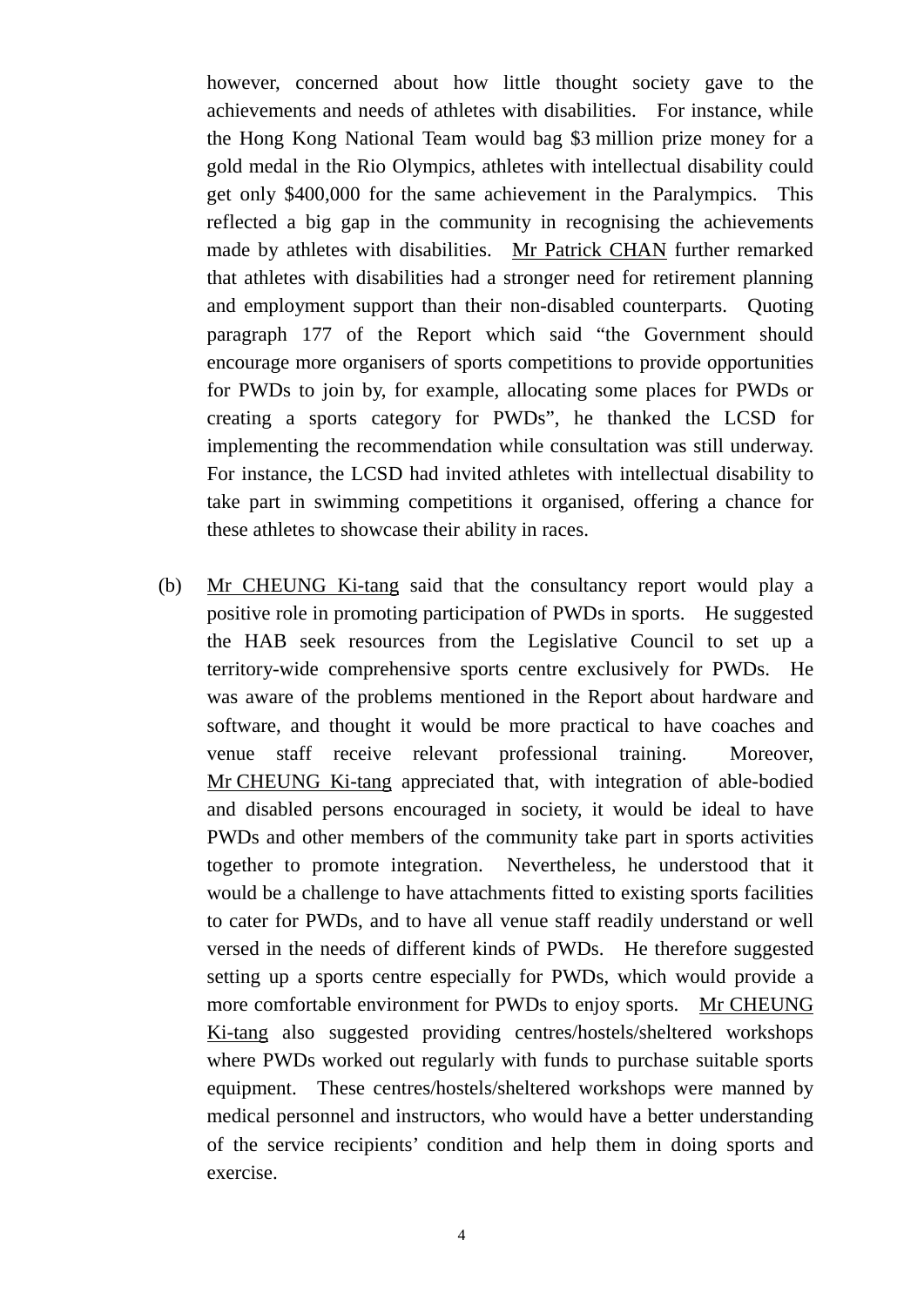however, concerned about how little thought society gave to the achievements and needs of athletes with disabilities. For instance, while the Hong Kong National Team would bag \$3 million prize money for a gold medal in the Rio Olympics, athletes with intellectual disability could get only \$400,000 for the same achievement in the Paralympics. This reflected a big gap in the community in recognising the achievements made by athletes with disabilities. Mr Patrick CHAN further remarked that athletes with disabilities had a stronger need for retirement planning and employment support than their non-disabled counterparts. Quoting paragraph 177 of the Report which said "the Government should encourage more organisers of sports competitions to provide opportunities for PWDs to join by, for example, allocating some places for PWDs or creating a sports category for PWDs", he thanked the LCSD for implementing the recommendation while consultation was still underway. For instance, the LCSD had invited athletes with intellectual disability to take part in swimming competitions it organised, offering a chance for these athletes to showcase their ability in races.

(b) Mr CHEUNG Ki-tang said that the consultancy report would play a positive role in promoting participation of PWDs in sports. He suggested the HAB seek resources from the Legislative Council to set up a territory-wide comprehensive sports centre exclusively for PWDs. He was aware of the problems mentioned in the Report about hardware and software, and thought it would be more practical to have coaches and venue staff receive relevant professional training. Moreover, Mr CHEUNG Ki-tang appreciated that, with integration of able-bodied and disabled persons encouraged in society, it would be ideal to have PWDs and other members of the community take part in sports activities together to promote integration. Nevertheless, he understood that it would be a challenge to have attachments fitted to existing sports facilities to cater for PWDs, and to have all venue staff readily understand or well versed in the needs of different kinds of PWDs. He therefore suggested setting up a sports centre especially for PWDs, which would provide a more comfortable environment for PWDs to enjoy sports. Mr CHEUNG Ki-tang also suggested providing centres/hostels/sheltered workshops where PWDs worked out regularly with funds to purchase suitable sports equipment. These centres/hostels/sheltered workshops were manned by medical personnel and instructors, who would have a better understanding of the service recipients' condition and help them in doing sports and exercise.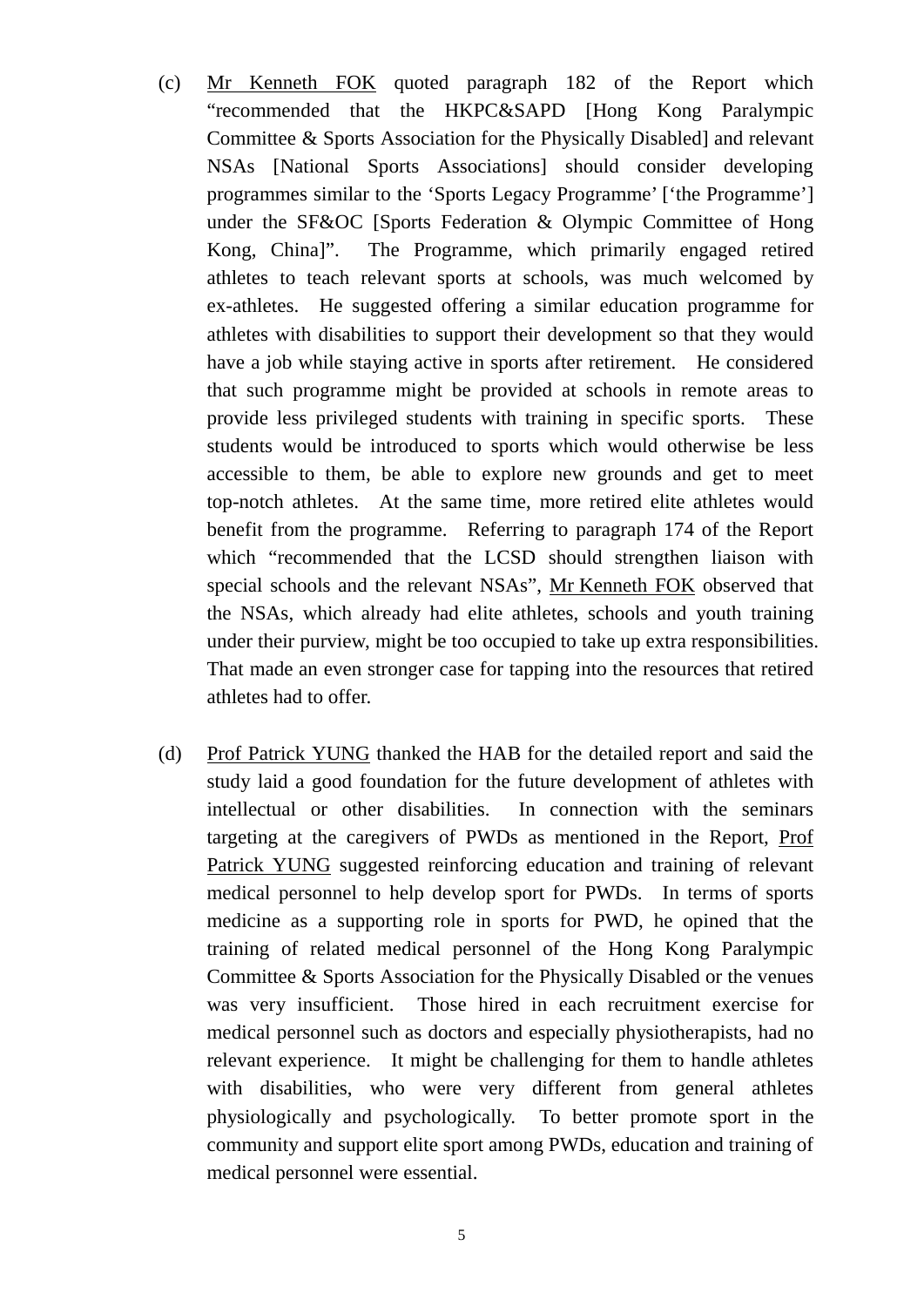- (c) Mr Kenneth FOK quoted paragraph 182 of the Report which "recommended that the HKPC&SAPD [Hong Kong Paralympic Committee & Sports Association for the Physically Disabled] and relevant NSAs [National Sports Associations] should consider developing programmes similar to the 'Sports Legacy Programme' ['the Programme'] under the SF&OC [Sports Federation & Olympic Committee of Hong Kong, China]". The Programme, which primarily engaged retired athletes to teach relevant sports at schools, was much welcomed by ex-athletes. He suggested offering a similar education programme for athletes with disabilities to support their development so that they would have a job while staying active in sports after retirement. He considered that such programme might be provided at schools in remote areas to provide less privileged students with training in specific sports. These students would be introduced to sports which would otherwise be less accessible to them, be able to explore new grounds and get to meet top-notch athletes. At the same time, more retired elite athletes would benefit from the programme. Referring to paragraph 174 of the Report which "recommended that the LCSD should strengthen liaison with special schools and the relevant NSAs", Mr Kenneth FOK observed that the NSAs, which already had elite athletes, schools and youth training under their purview, might be too occupied to take up extra responsibilities. That made an even stronger case for tapping into the resources that retired athletes had to offer.
- (d) Prof Patrick YUNG thanked the HAB for the detailed report and said the study laid a good foundation for the future development of athletes with intellectual or other disabilities. In connection with the seminars targeting at the caregivers of PWDs as mentioned in the Report, Prof Patrick YUNG suggested reinforcing education and training of relevant medical personnel to help develop sport for PWDs. In terms of sports medicine as a supporting role in sports for PWD, he opined that the training of related medical personnel of the Hong Kong Paralympic Committee & Sports Association for the Physically Disabled or the venues was very insufficient. Those hired in each recruitment exercise for medical personnel such as doctors and especially physiotherapists, had no relevant experience. It might be challenging for them to handle athletes with disabilities, who were very different from general athletes physiologically and psychologically. To better promote sport in the community and support elite sport among PWDs, education and training of medical personnel were essential.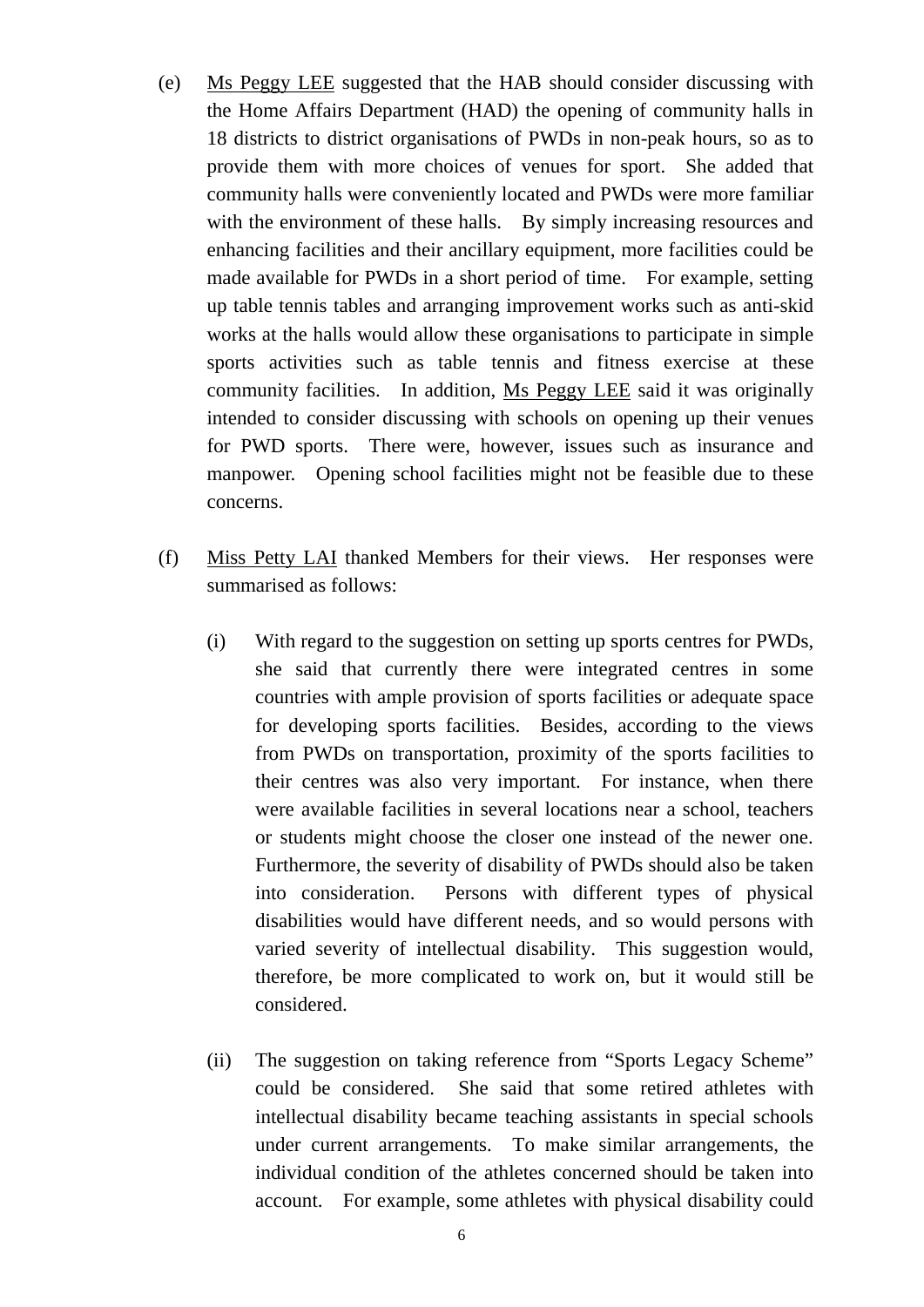- (e) Ms Peggy LEE suggested that the HAB should consider discussing with the Home Affairs Department (HAD) the opening of community halls in 18 districts to district organisations of PWDs in non-peak hours, so as to provide them with more choices of venues for sport. She added that community halls were conveniently located and PWDs were more familiar with the environment of these halls. By simply increasing resources and enhancing facilities and their ancillary equipment, more facilities could be made available for PWDs in a short period of time. For example, setting up table tennis tables and arranging improvement works such as anti-skid works at the halls would allow these organisations to participate in simple sports activities such as table tennis and fitness exercise at these community facilities. In addition, Ms Peggy LEE said it was originally intended to consider discussing with schools on opening up their venues for PWD sports. There were, however, issues such as insurance and manpower. Opening school facilities might not be feasible due to these concerns.
- (f) Miss Petty LAI thanked Members for their views. Her responses were summarised as follows:
	- (i) With regard to the suggestion on setting up sports centres for PWDs, she said that currently there were integrated centres in some countries with ample provision of sports facilities or adequate space for developing sports facilities. Besides, according to the views from PWDs on transportation, proximity of the sports facilities to their centres was also very important. For instance, when there were available facilities in several locations near a school, teachers or students might choose the closer one instead of the newer one. Furthermore, the severity of disability of PWDs should also be taken into consideration. Persons with different types of physical disabilities would have different needs, and so would persons with varied severity of intellectual disability. This suggestion would, therefore, be more complicated to work on, but it would still be considered.
	- (ii) The suggestion on taking reference from "Sports Legacy Scheme" could be considered. She said that some retired athletes with intellectual disability became teaching assistants in special schools under current arrangements. To make similar arrangements, the individual condition of the athletes concerned should be taken into account. For example, some athletes with physical disability could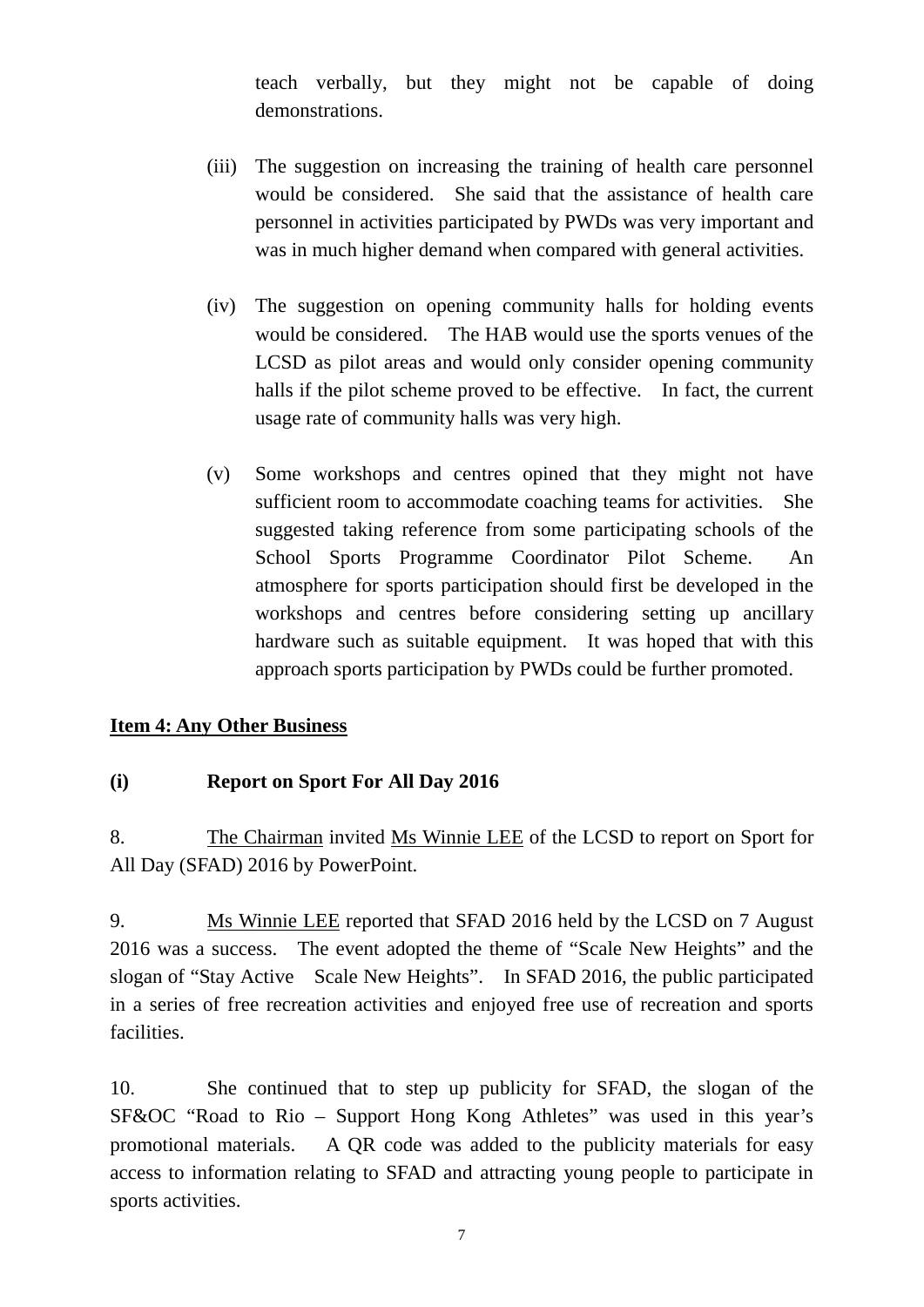teach verbally, but they might not be capable of doing demonstrations.

- (iii) The suggestion on increasing the training of health care personnel would be considered. She said that the assistance of health care personnel in activities participated by PWDs was very important and was in much higher demand when compared with general activities.
- (iv) The suggestion on opening community halls for holding events would be considered. The HAB would use the sports venues of the LCSD as pilot areas and would only consider opening community halls if the pilot scheme proved to be effective. In fact, the current usage rate of community halls was very high.
- (v) Some workshops and centres opined that they might not have sufficient room to accommodate coaching teams for activities. She suggested taking reference from some participating schools of the School Sports Programme Coordinator Pilot Scheme. An atmosphere for sports participation should first be developed in the workshops and centres before considering setting up ancillary hardware such as suitable equipment. It was hoped that with this approach sports participation by PWDs could be further promoted.

### **Item 4: Any Other Business**

### **(i) Report on Sport For All Day 2016**

8. The Chairman invited Ms Winnie LEE of the LCSD to report on Sport for All Day (SFAD) 2016 by PowerPoint.

9. Ms Winnie LEE reported that SFAD 2016 held by the LCSD on 7 August 2016 was a success. The event adopted the theme of "Scale New Heights" and the slogan of "Stay Active Scale New Heights". In SFAD 2016, the public participated in a series of free recreation activities and enjoyed free use of recreation and sports facilities.

10. She continued that to step up publicity for SFAD, the slogan of the SF&OC "Road to Rio – Support Hong Kong Athletes" was used in this year's promotional materials. A QR code was added to the publicity materials for easy access to information relating to SFAD and attracting young people to participate in sports activities.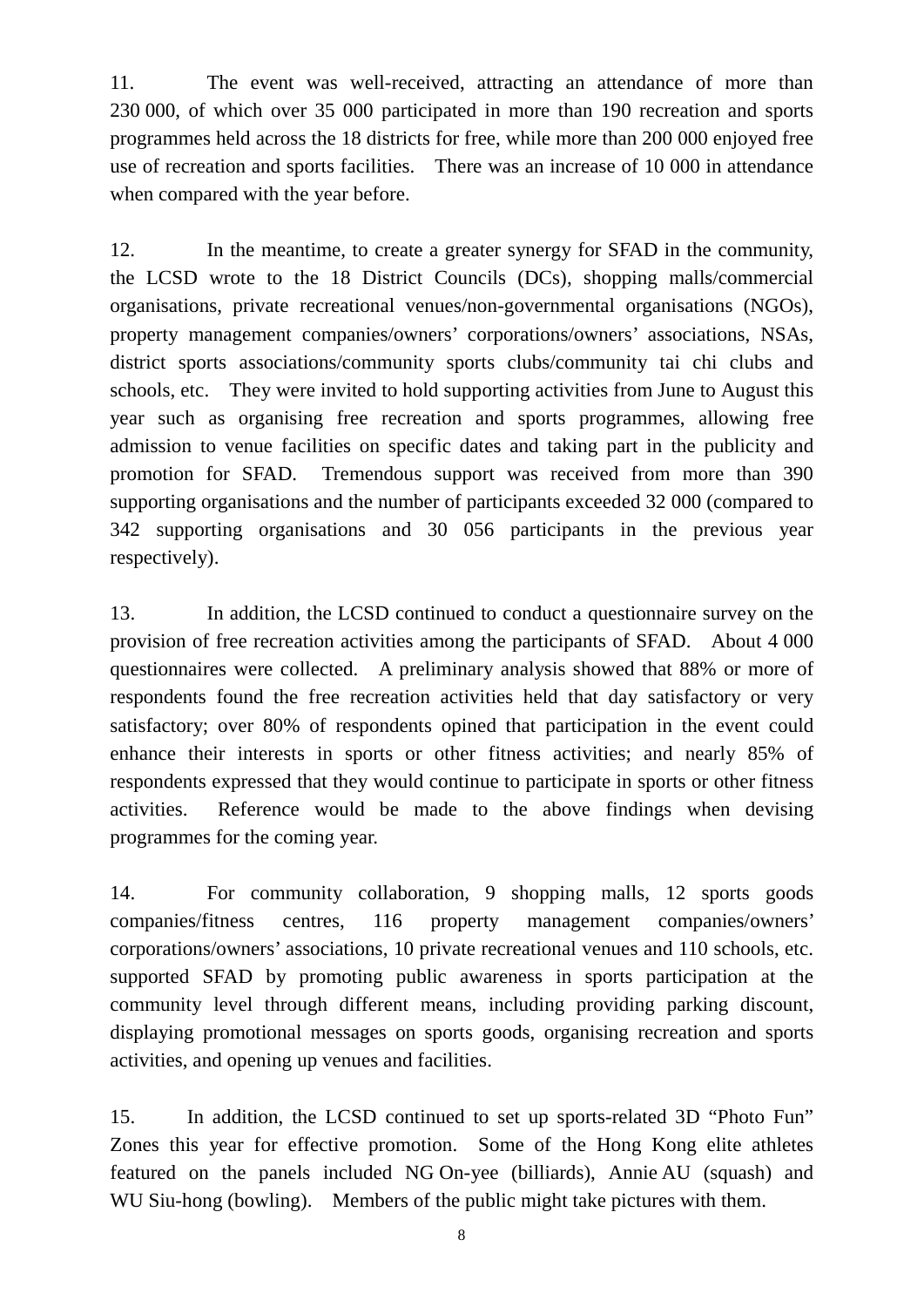11. The event was well-received, attracting an attendance of more than 230 000, of which over 35 000 participated in more than 190 recreation and sports programmes held across the 18 districts for free, while more than 200 000 enjoyed free use of recreation and sports facilities. There was an increase of 10 000 in attendance when compared with the year before.

12. In the meantime, to create a greater synergy for SFAD in the community, the LCSD wrote to the 18 District Councils (DCs), shopping malls/commercial organisations, private recreational venues/non-governmental organisations (NGOs), property management companies/owners' corporations/owners' associations, NSAs, district sports associations/community sports clubs/community tai chi clubs and schools, etc. They were invited to hold supporting activities from June to August this year such as organising free recreation and sports programmes, allowing free admission to venue facilities on specific dates and taking part in the publicity and promotion for SFAD. Tremendous support was received from more than 390 supporting organisations and the number of participants exceeded 32 000 (compared to 342 supporting organisations and 30 056 participants in the previous year respectively).

13. In addition, the LCSD continued to conduct a questionnaire survey on the provision of free recreation activities among the participants of SFAD. About 4 000 questionnaires were collected. A preliminary analysis showed that 88% or more of respondents found the free recreation activities held that day satisfactory or very satisfactory; over 80% of respondents opined that participation in the event could enhance their interests in sports or other fitness activities; and nearly 85% of respondents expressed that they would continue to participate in sports or other fitness activities. Reference would be made to the above findings when devising programmes for the coming year.

14. For community collaboration, 9 shopping malls, 12 sports goods companies/fitness centres, 116 property management companies/owners' corporations/owners' associations, 10 private recreational venues and 110 schools, etc. supported SFAD by promoting public awareness in sports participation at the community level through different means, including providing parking discount, displaying promotional messages on sports goods, organising recreation and sports activities, and opening up venues and facilities.

15. In addition, the LCSD continued to set up sports-related 3D "Photo Fun" Zones this year for effective promotion. Some of the Hong Kong elite athletes featured on the panels included NG On-yee (billiards), Annie AU (squash) and WU Siu-hong (bowling). Members of the public might take pictures with them.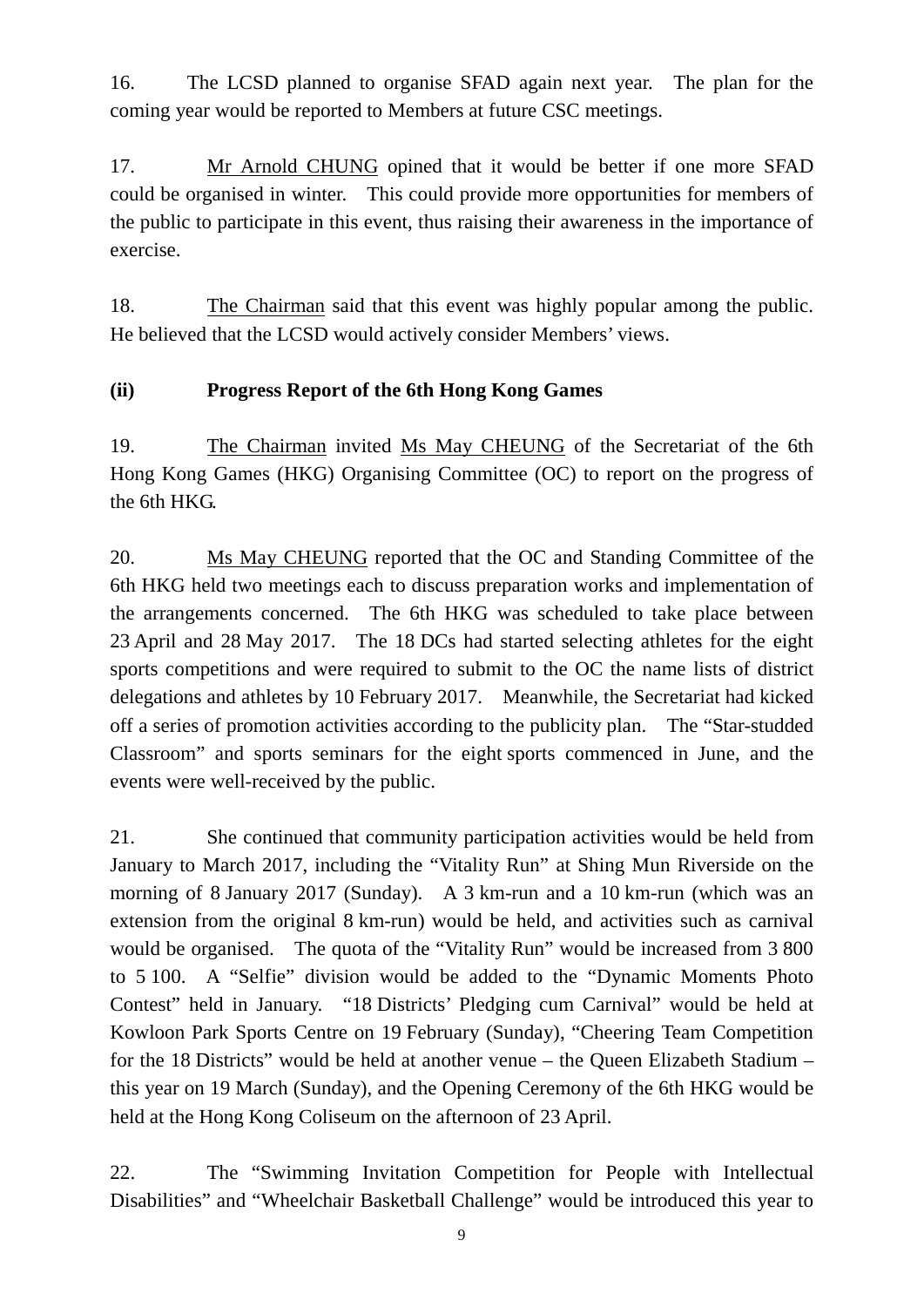16. The LCSD planned to organise SFAD again next year. The plan for the coming year would be reported to Members at future CSC meetings.

17. Mr Arnold CHUNG opined that it would be better if one more SFAD could be organised in winter. This could provide more opportunities for members of the public to participate in this event, thus raising their awareness in the importance of exercise.

18. The Chairman said that this event was highly popular among the public. He believed that the LCSD would actively consider Members' views.

## **(ii) Progress Report of the 6th Hong Kong Games**

19. The Chairman invited Ms May CHEUNG of the Secretariat of the 6th Hong Kong Games (HKG) Organising Committee (OC) to report on the progress of the 6th HKG.

20. Ms May CHEUNG reported that the OC and Standing Committee of the 6th HKG held two meetings each to discuss preparation works and implementation of the arrangements concerned. The 6th HKG was scheduled to take place between 23 April and 28 May 2017. The 18 DCs had started selecting athletes for the eight sports competitions and were required to submit to the OC the name lists of district delegations and athletes by 10 February 2017. Meanwhile, the Secretariat had kicked off a series of promotion activities according to the publicity plan. The "Star-studded Classroom" and sports seminars for the eight sports commenced in June, and the events were well-received by the public.

21. She continued that community participation activities would be held from January to March 2017, including the "Vitality Run" at Shing Mun Riverside on the morning of 8 January 2017 (Sunday). A 3 km-run and a 10 km-run (which was an extension from the original 8 km-run) would be held, and activities such as carnival would be organised. The quota of the "Vitality Run" would be increased from 3 800 to 5 100. A "Selfie" division would be added to the "Dynamic Moments Photo Contest" held in January. "18 Districts' Pledging cum Carnival" would be held at Kowloon Park Sports Centre on 19 February (Sunday), "Cheering Team Competition for the 18 Districts" would be held at another venue – the Queen Elizabeth Stadium – this year on 19 March (Sunday), and the Opening Ceremony of the 6th HKG would be held at the Hong Kong Coliseum on the afternoon of 23 April.

22. The "Swimming Invitation Competition for People with Intellectual Disabilities" and "Wheelchair Basketball Challenge" would be introduced this year to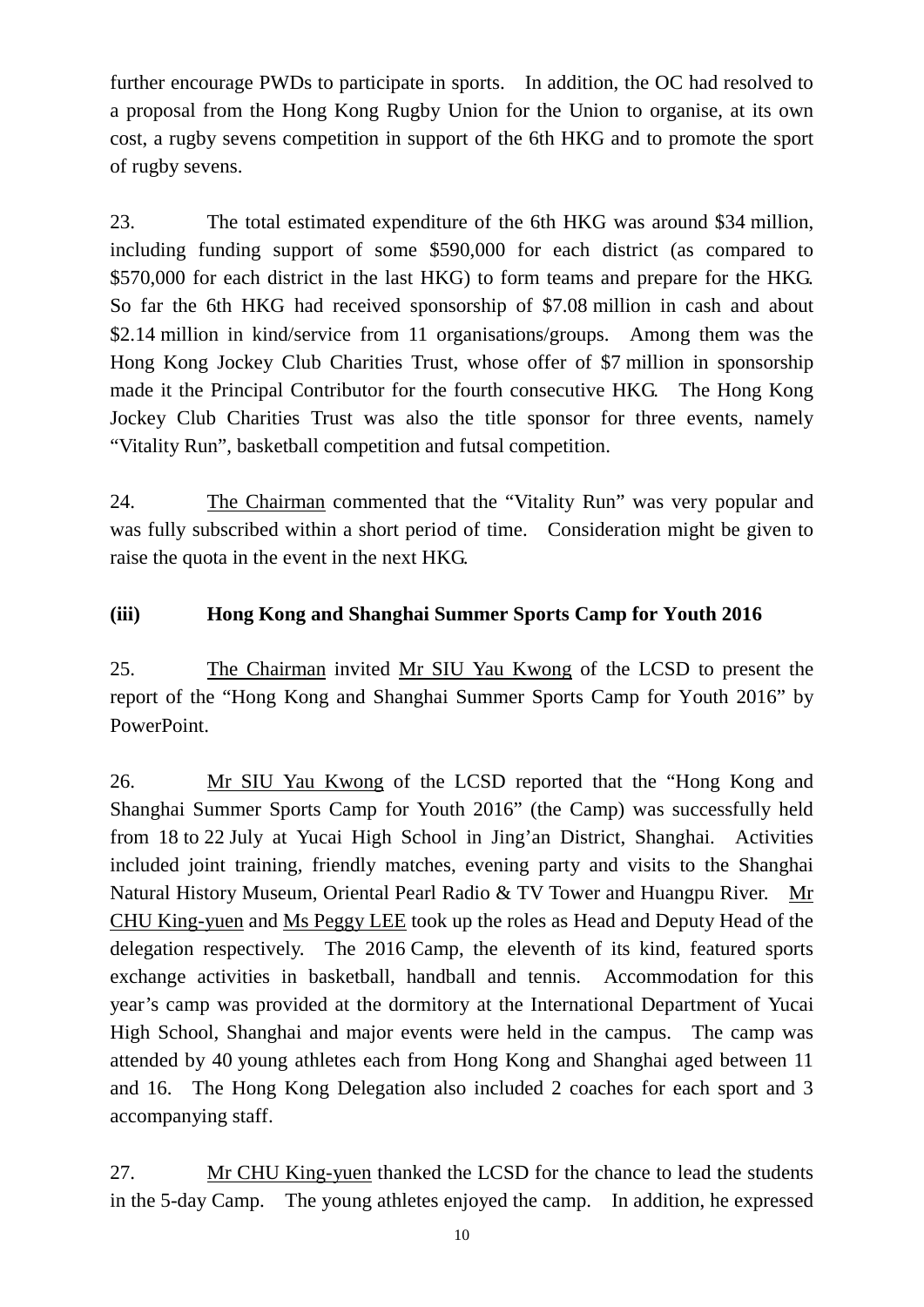further encourage PWDs to participate in sports. In addition, the OC had resolved to a proposal from the Hong Kong Rugby Union for the Union to organise, at its own cost, a rugby sevens competition in support of the 6th HKG and to promote the sport of rugby sevens.

23. The total estimated expenditure of the 6th HKG was around \$34 million, including funding support of some \$590,000 for each district (as compared to \$570,000 for each district in the last HKG) to form teams and prepare for the HKG. So far the 6th HKG had received sponsorship of \$7.08 million in cash and about \$2.14 million in kind/service from 11 organisations/groups. Among them was the Hong Kong Jockey Club Charities Trust, whose offer of \$7 million in sponsorship made it the Principal Contributor for the fourth consecutive HKG. The Hong Kong Jockey Club Charities Trust was also the title sponsor for three events, namely "Vitality Run", basketball competition and futsal competition.

24. The Chairman commented that the "Vitality Run" was very popular and was fully subscribed within a short period of time. Consideration might be given to raise the quota in the event in the next HKG.

## **(iii) Hong Kong and Shanghai Summer Sports Camp for Youth 2016**

25. The Chairman invited Mr SIU Yau Kwong of the LCSD to present the report of the "Hong Kong and Shanghai Summer Sports Camp for Youth 2016" by PowerPoint.

26. Mr SIU Yau Kwong of the LCSD reported that the "Hong Kong and Shanghai Summer Sports Camp for Youth 2016" (the Camp) was successfully held from 18 to 22 July at Yucai High School in Jing'an District, Shanghai. Activities included joint training, friendly matches, evening party and visits to the Shanghai Natural History Museum, Oriental Pearl Radio & TV Tower and Huangpu River. Mr CHU King-yuen and Ms Peggy LEE took up the roles as Head and Deputy Head of the delegation respectively. The 2016 Camp, the eleventh of its kind, featured sports exchange activities in basketball, handball and tennis. Accommodation for this year's camp was provided at the dormitory at the International Department of Yucai High School, Shanghai and major events were held in the campus. The camp was attended by 40 young athletes each from Hong Kong and Shanghai aged between 11 and 16. The Hong Kong Delegation also included 2 coaches for each sport and 3 accompanying staff.

27. Mr CHU King-yuen thanked the LCSD for the chance to lead the students in the 5-day Camp. The young athletes enjoyed the camp. In addition, he expressed